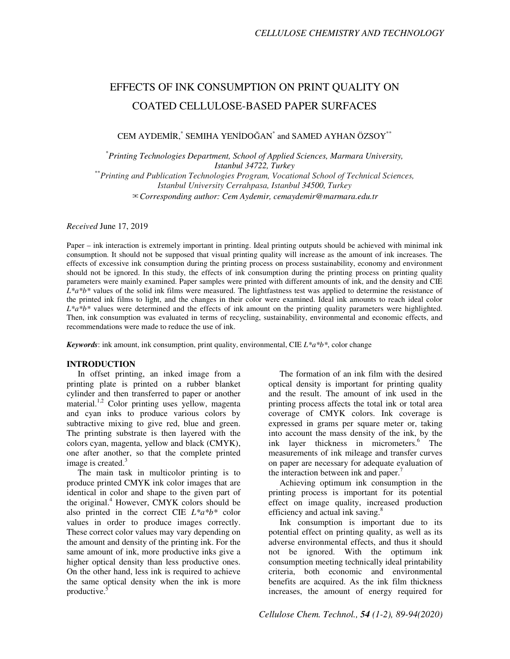# EFFECTS OF INK CONSUMPTION ON PRINT QUALITY ON COATED CELLULOSE-BASED PAPER SURFACES

CEM AYDEMİR,<sup>\*</sup> SEMIHA YENİDOĞAN<sup>\*</sup> and SAMED AYHAN ÖZSOY<sup>\*\*</sup>

\* *Printing Technologies Department, School of Applied Sciences, Marmara University, Istanbul 34722, Turkey*  \*\**Printing and Publication Technologies Program, Vocational School of Technical Sciences,* 

*Istanbul University Cerrahpasa, Istanbul 34500, Turkey* ✉*Corresponding author: Cem Aydemir, cemaydemir@marmara.edu.tr* 

*Received* June 17, 2019

Paper – ink interaction is extremely important in printing. Ideal printing outputs should be achieved with minimal ink consumption. It should not be supposed that visual printing quality will increase as the amount of ink increases. The effects of excessive ink consumption during the printing process on process sustainability, economy and environment should not be ignored. In this study, the effects of ink consumption during the printing process on printing quality parameters were mainly examined. Paper samples were printed with different amounts of ink, and the density and CIE L<sup>\*a\*b\*</sup> values of the solid ink films were measured. The lightfastness test was applied to determine the resistance of the printed ink films to light, and the changes in their color were examined. Ideal ink amounts to reach ideal color *L\*a\*b\** values were determined and the effects of ink amount on the printing quality parameters were highlighted. Then, ink consumption was evaluated in terms of recycling, sustainability, environmental and economic effects, and recommendations were made to reduce the use of ink.

*Keywords*: ink amount, ink consumption, print quality, environmental, CIE  $L^*a^*b^*$ , color change

# **INTRODUCTION**

In offset printing, an inked image from a printing plate is printed on a rubber blanket cylinder and then transferred to paper or another material.1,2 Color printing uses yellow, magenta and cyan inks to produce various colors by subtractive mixing to give red, blue and green. The printing substrate is then layered with the colors cyan, magenta, yellow and black (CMYK), one after another, so that the complete printed image is created. $3$ 

The main task in multicolor printing is to produce printed CMYK ink color images that are identical in color and shape to the given part of the original.<sup>4</sup> However, CMYK colors should be also printed in the correct CIE *L\*a\*b\** color values in order to produce images correctly. These correct color values may vary depending on the amount and density of the printing ink. For the same amount of ink, more productive inks give a higher optical density than less productive ones. On the other hand, less ink is required to achieve the same optical density when the ink is more productive.<sup>5</sup>

The formation of an ink film with the desired optical density is important for printing quality and the result. The amount of ink used in the printing process affects the total ink or total area coverage of CMYK colors. Ink coverage is expressed in grams per square meter or, taking into account the mass density of the ink, by the ink layer thickness in micrometers.<sup>6</sup> The measurements of ink mileage and transfer curves on paper are necessary for adequate evaluation of the interaction between ink and paper.<sup>7</sup>

Achieving optimum ink consumption in the printing process is important for its potential effect on image quality, increased production efficiency and actual ink saving.<sup>8</sup>

Ink consumption is important due to its potential effect on printing quality, as well as its adverse environmental effects, and thus it should not be ignored. With the optimum ink consumption meeting technically ideal printability criteria, both economic and environmental benefits are acquired. As the ink film thickness increases, the amount of energy required for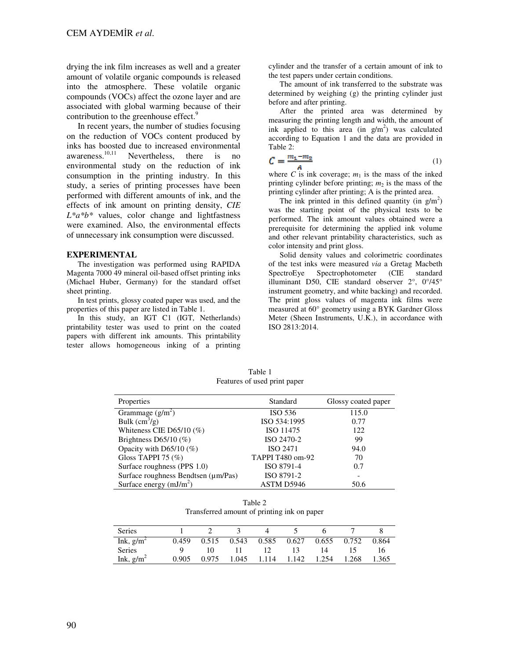drying the ink film increases as well and a greater amount of volatile organic compounds is released into the atmosphere. These volatile organic compounds (VOCs) affect the ozone layer and are associated with global warming because of their contribution to the greenhouse effect.<sup>9</sup>

In recent years, the number of studies focusing on the reduction of VOCs content produced by inks has boosted due to increased environmental awareness. Nevertheless, there is no environmental study on the reduction of ink consumption in the printing industry. In this study, a series of printing processes have been performed with different amounts of ink, and the effects of ink amount on printing density, *CIE L\*a\*b\** values, color change and lightfastness were examined. Also, the environmental effects of unnecessary ink consumption were discussed.

## **EXPERIMENTAL**

The investigation was performed using RAPIDA Magenta 7000 49 mineral oil-based offset printing inks (Michael Huber, Germany) for the standard offset sheet printing.

In test prints, glossy coated paper was used, and the properties of this paper are listed in Table 1.

In this study, an IGT C1 (IGT, Netherlands) printability tester was used to print on the coated papers with different ink amounts. This printability tester allows homogeneous inking of a printing cylinder and the transfer of a certain amount of ink to the test papers under certain conditions.

The amount of ink transferred to the substrate was determined by weighing (g) the printing cylinder just before and after printing.

After the printed area was determined by measuring the printing length and width, the amount of ink applied to this area (in  $g/m^2$ ) was calculated according to Equation 1 and the data are provided in Table 2:

$$
C = \frac{m_1 - m_2}{4} \tag{1}
$$

where *C* is ink coverage;  $m_1$  is the mass of the inked printing cylinder before printing;  $m_2$  is the mass of the printing cylinder after printing; A is the printed area.

The ink printed in this defined quantity (in  $g/m^2$ ) was the starting point of the physical tests to be performed. The ink amount values obtained were a prerequisite for determining the applied ink volume and other relevant printability characteristics, such as color intensity and print gloss.

Solid density values and colorimetric coordinates of the test inks were measured *via* a Gretag Macbeth SpectroEye Spectrophotometer (CIE standard illuminant D50, CIE standard observer 2°, 0°/45° instrument geometry, and white backing) and recorded. The print gloss values of magenta ink films were measured at 60° geometry using a BYK Gardner Gloss Meter (Sheen Instruments, U.K.), in accordance with ISO 2813:2014.

Table 1 Features of used print paper

| Properties                          | Standard         | Glossy coated paper |  |  |
|-------------------------------------|------------------|---------------------|--|--|
| Grammage $(g/m^2)$                  | ISO 536          | 115.0               |  |  |
| Bulk $\text{cm}^3\text{/g}$ )       | ISO 534:1995     | 0.77                |  |  |
| Whiteness CIE D65/10 $(\%)$         | ISO 11475        | 122                 |  |  |
| Brightness D65/10 $(\%)$            | ISO 2470-2       | 99                  |  |  |
| Opacity with D65/10 $(\%)$          | ISO 2471         | 94.0                |  |  |
| Gloss TAPPI 75 $(\%)$               | TAPPI T480 om-92 | 70                  |  |  |
| Surface roughness (PPS 1.0)         | ISO 8791-4       | 0.7                 |  |  |
| Surface roughness Bendtsen (µm/Pas) | ISO 8791-2       |                     |  |  |
| Surface energy $(mJ/m2)$            | ASTM D5946       | 50.6                |  |  |

Table 2 Transferred amount of printing ink on paper

| <b>Series</b> |       |       |       |       |       |       |       |       |
|---------------|-------|-------|-------|-------|-------|-------|-------|-------|
| Ink, $g/m^2$  | 0.459 | 0.515 | 0.543 | 0.585 | 0.627 | 0.655 | 0.752 | 0.864 |
| <b>Series</b> |       |       |       |       |       | 14    |       | Iб    |
| Ink, $g/m^2$  | 0.905 | 0.975 | .045  | 114   | .142  | 1.254 | .268  | 1.365 |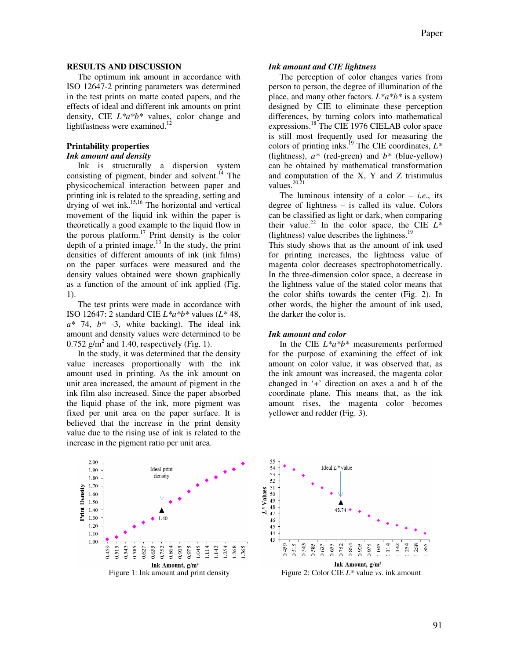## **RESULTS AND DISCUSSION**

The optimum ink amount in accordance with ISO 12647-2 printing parameters was determined in the test prints on matte coated papers, and the effects of ideal and different ink amounts on print density, CIE *L\*a\*b\** values, color change and lightfastness were examined. $^{12}$ 

## **Printability properties**  *Ink amount and density*

Ink is structurally a dispersion system consisting of pigment, binder and solvent. $^{14}$  The physicochemical interaction between paper and printing ink is related to the spreading, setting and drying of wet ink.15,16 The horizontal and vertical movement of the liquid ink within the paper is theoretically a good example to the liquid flow in the porous platform.<sup>17</sup> Print density is the color depth of a printed image. $^{13}$  In the study, the print densities of different amounts of ink (ink films) on the paper surfaces were measured and the density values obtained were shown graphically as a function of the amount of ink applied (Fig. 1).

The test prints were made in accordance with ISO 12647: 2 standard CIE *L\*a\*b\** values (*L\** 48, *a\** 74, *b\** -3, white backing). The ideal ink amount and density values were determined to be  $0.752$  g/m<sup>2</sup> and 1.40, respectively (Fig. 1).

In the study, it was determined that the density value increases proportionally with the ink amount used in printing. As the ink amount on unit area increased, the amount of pigment in the ink film also increased. Since the paper absorbed the liquid phase of the ink, more pigment was fixed per unit area on the paper surface. It is believed that the increase in the print density value due to the rising use of ink is related to the increase in the pigment ratio per unit area.

#### *Ink amount and CIE lightness*

The perception of color changes varies from person to person, the degree of illumination of the place, and many other factors. *L\*a\*b\** is a system designed by CIE to eliminate these perception differences, by turning colors into mathematical expressions.<sup>18</sup> The CIE 1976 CIELAB color space is still most frequently used for measuring the colors of printing inks.<sup>19</sup> The CIE coordinates, *L\** (lightness), *a\** (red-green) and *b\** (blue-yellow) can be obtained by mathematical transformation and computation of the X, Y and Z tristimulus values.<sup>20,21</sup>

The luminous intensity of a color  $-$  *i.e.*, its degree of lightness – is called its value. Colors can be classified as light or dark, when comparing their value.<sup>22</sup> In the color space, the CIE  $L^*$ (lightness) value describes the lightness. $19$ 

This study shows that as the amount of ink used for printing increases, the lightness value of magenta color decreases spectrophotometrically. In the three-dimension color space, a decrease in the lightness value of the stated color means that the color shifts towards the center (Fig. 2). In other words, the higher the amount of ink used, the darker the color is.

## *Ink amount and color*

In the CIE *L\*a\*b\** measurements performed for the purpose of examining the effect of ink amount on color value, it was observed that, as the ink amount was increased, the magenta color changed in '+' direction on axes a and b of the coordinate plane. This means that, as the ink amount rises, the magenta color becomes yellower and redder (Fig. 3).



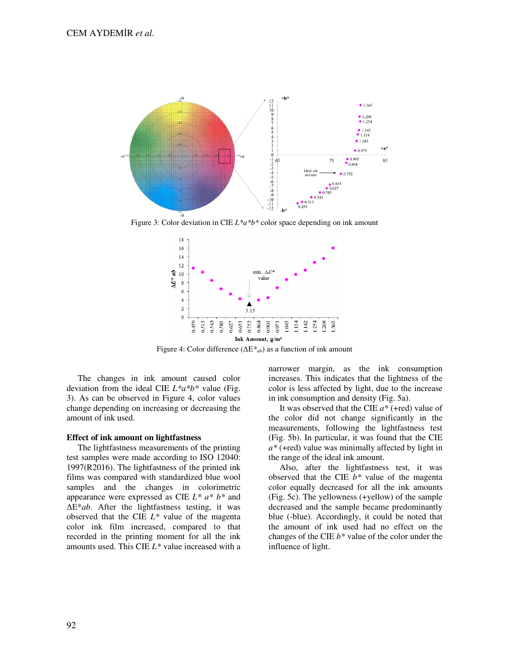

Figure 3: Color deviation in CIE *L\*a\*b\** color space depending on ink amount



Figure 4: Color difference (∆E*\*ab*) as a function of ink amount

The changes in ink amount caused color deviation from the ideal CIE *L\*a\*b\** value (Fig. 3). As can be observed in Figure 4, color values change depending on increasing or decreasing the amount of ink used.

#### **Effect of ink amount on lightfastness**

The lightfastness measurements of the printing test samples were made according to ISO 12040: 1997(R2016). The lightfastness of the printed ink films was compared with standardized blue wool samples and the changes in colorimetric appearance were expressed as CIE *L\* a\* b\** and ∆E\**ab*. After the lightfastness testing, it was observed that the CIE *L\** value of the magenta color ink film increased, compared to that recorded in the printing moment for all the ink amounts used. This CIE *L\** value increased with a

narrower margin, as the ink consumption increases. This indicates that the lightness of the color is less affected by light, due to the increase in ink consumption and density (Fig. 5a).

It was observed that the CIE *a\** (+red) value of the color did not change significantly in the measurements, following the lightfastness test (Fig. 5b). In particular, it was found that the CIE *a\** (+red) value was minimally affected by light in the range of the ideal ink amount.

Also, after the lightfastness test, it was observed that the CIE *b\** value of the magenta color equally decreased for all the ink amounts (Fig. 5c). The yellowness (+yellow) of the sample decreased and the sample became predominantly blue (-blue). Accordingly, it could be noted that the amount of ink used had no effect on the changes of the CIE *b\** value of the color under the influence of light.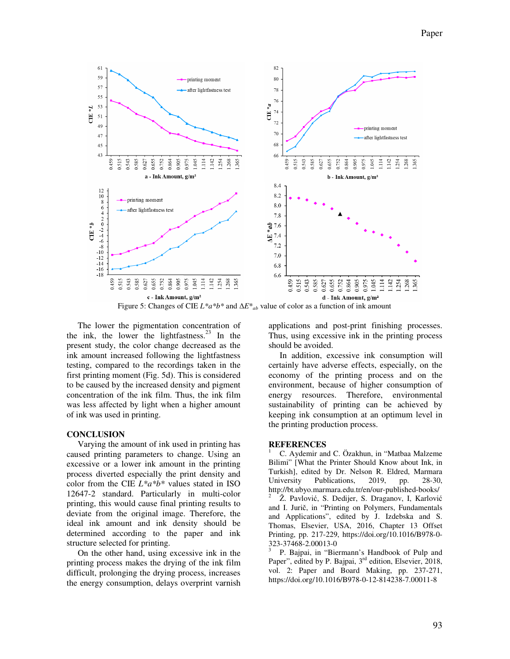

Figure 5: Changes of CIE *L\*a\*b\** and ∆*E*\**ab* value of color as a function of ink amount

The lower the pigmentation concentration of the ink, the lower the lightfastness. $23$  In the present study, the color change decreased as the ink amount increased following the lightfastness testing, compared to the recordings taken in the first printing moment (Fig. 5d). This is considered to be caused by the increased density and pigment concentration of the ink film. Thus, the ink film was less affected by light when a higher amount of ink was used in printing.

# **CONCLUSION**

Varying the amount of ink used in printing has caused printing parameters to change. Using an excessive or a lower ink amount in the printing process diverted especially the print density and color from the CIE *L\*a\*b\** values stated in ISO 12647-2 standard. Particularly in multi-color printing, this would cause final printing results to deviate from the original image. Therefore, the ideal ink amount and ink density should be determined according to the paper and ink structure selected for printing.

On the other hand, using excessive ink in the printing process makes the drying of the ink film difficult, prolonging the drying process, increases the energy consumption, delays overprint varnish applications and post-print finishing processes. Thus, using excessive ink in the printing process should be avoided.

In addition, excessive ink consumption will certainly have adverse effects, especially, on the economy of the printing process and on the environment, because of higher consumption of energy resources. Therefore, environmental sustainability of printing can be achieved by keeping ink consumption at an optimum level in the printing production process.

## **REFERENCES**

<sup>1</sup> C. Aydemir and C. Özakhun, in "Matbaa Malzeme Bilimi" [What the Printer Should Know about Ink, in Turkish], edited by Dr. Nelson R. Eldred, Marmara University Publications, 2019, pp. 28-30, http://bt.ubyo.marmara.edu.tr/en/our-published-books/ 2 Ž. Pavlović, S. Dedijer, S. Draganov, I, Karlović and I. Jurič, in "Printing on Polymers, Fundamentals and Applications", edited by J. Izdebska and S. Thomas, Elsevier, USA, 2016, Chapter 13 Offset Printing, pp. 217-229, https://doi.org/10.1016/B978-0- 323-37468-2.00013-0

3 P. Bajpai, in "Biermann's Handbook of Pulp and Paper", edited by P. Bajpai, 3<sup>rd</sup> edition, Elsevier, 2018, vol. 2: Paper and Board Making, pp. 237-271, https://doi.org/10.1016/B978-0-12-814238-7.00011-8